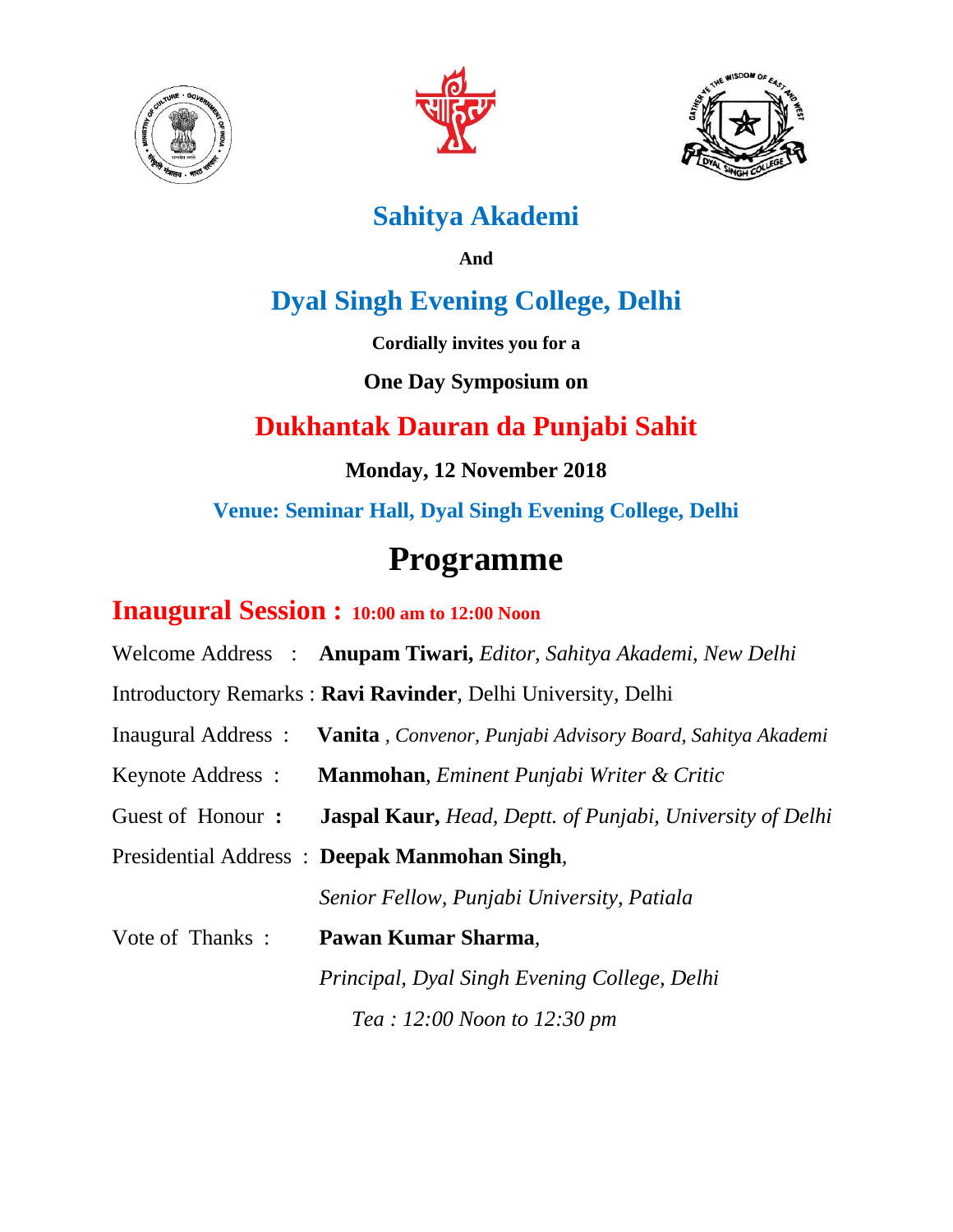





## **Sahitya Akademi**

**And**

## **Dyal Singh Evening College, Delhi**

**Cordially invites you for a** 

### **One Day Symposium on**

## **Dukhantak Dauran da Punjabi Sahit**

**Monday, 12 November 2018**

**Venue: Seminar Hall, Dyal Singh Evening College, Delhi**

## **Programme**

### **Inaugural Session : 10:00 am to 12:00 Noon**

Welcome Address : **Anupam Tiwari,** *Editor, Sahitya Akademi, New Delhi*

Introductory Remarks : **Ravi Ravinder**, Delhi University, Delhi

- Inaugural Address : **Vanita** *, Convenor, Punjabi Advisory Board, Sahitya Akademi*
- Keynote Address : **Manmohan**, *Eminent Punjabi Writer & Critic*
- Guest of Honour **: Jaspal Kaur,** *Head, Deptt. of Punjabi, University of Delhi*

Presidential Address : **Deepak Manmohan Singh***,*

 *Senior Fellow, Punjabi University, Patiala*

Vote of Thanks : **Pawan Kumar Sharma***,*

 *Principal, Dyal Singh Evening College, Delhi Tea : 12:00 Noon to 12:30 pm*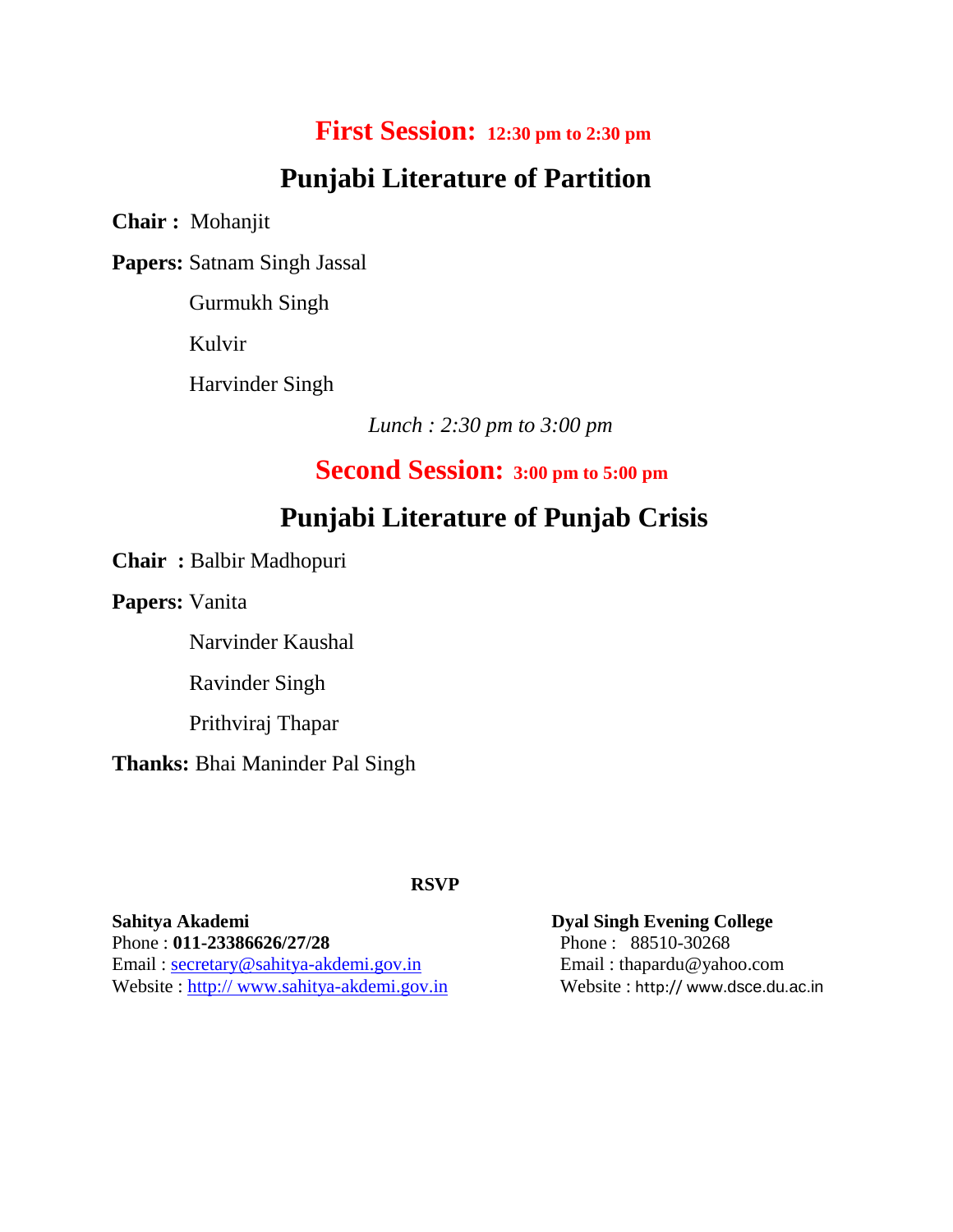### **First Session: 12:30 pm to 2:30 pm**

## **Punjabi Literature of Partition**

**Chair :** Mohanjit

**Papers:** Satnam Singh Jassal

Gurmukh Singh

Kulvir

Harvinder Singh

 *Lunch : 2:30 pm to 3:00 pm* 

 **Second Session: 3:00 pm to 5:00 pm**

### **Punjabi Literature of Punjab Crisis**

**Chair :** Balbir Madhopuri

**Papers:** Vanita

Narvinder Kaushal

Ravinder Singh

Prithviraj Thapar

**Thanks:** Bhai Maninder Pal Singh

### **RSVP**

**Sahitya Akademi Dyal Singh Evening College** Phone : **011-23386626/27/28** Phone :88510-30268 Email: [secretary@sahitya-akdemi.gov.in](mailto:secretary@sahitya-akdemi.gov.in) **Email: thapardu@yahoo.com** Website : http:// www.sahitya-akdemi.gov.in Website : http:// www.[dsce.du.ac.in](http://dsce.du.ac.in/)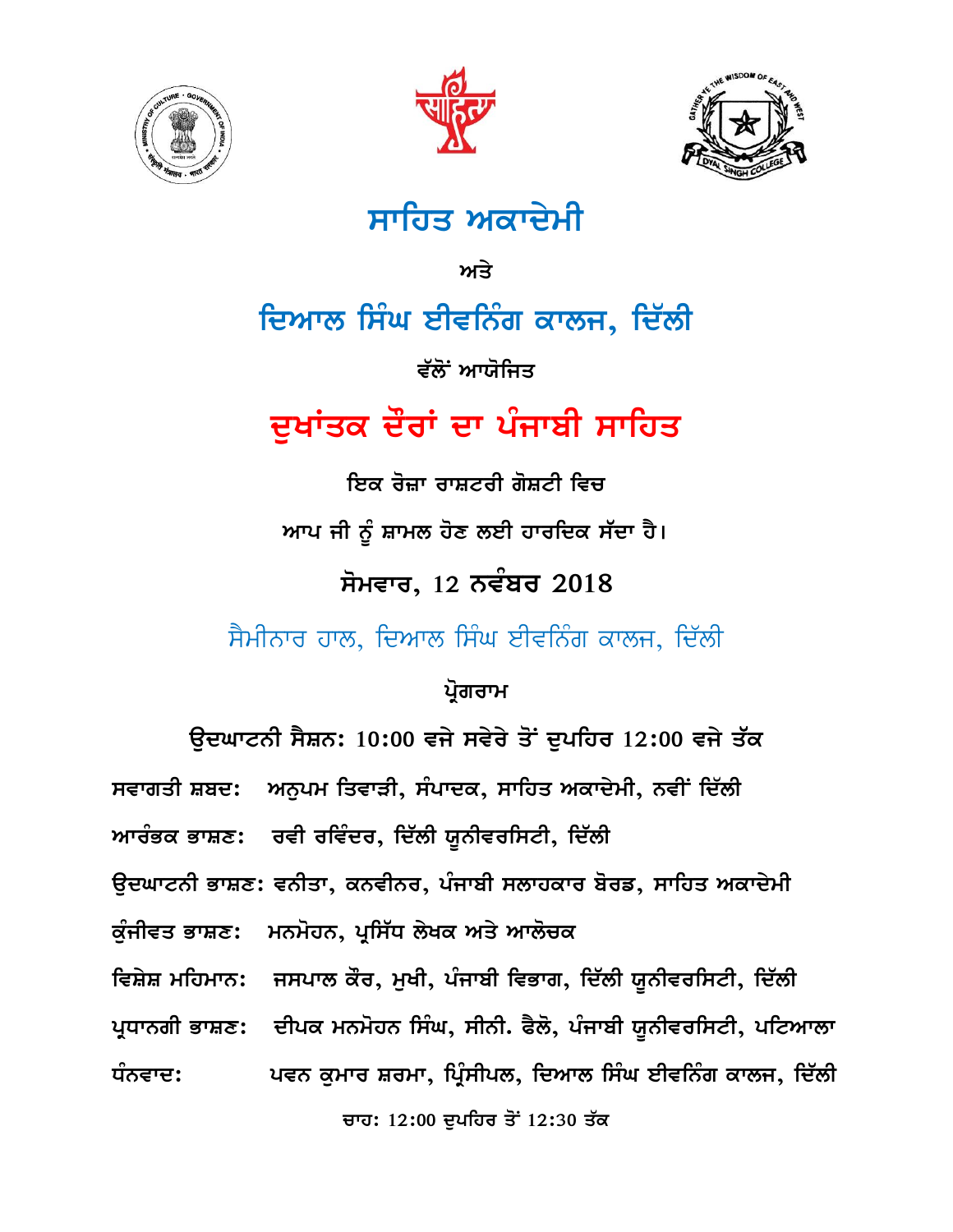





## ਸਾਹਿਤ ਅਕਾਦੇਮੀ

<u>ਅਤੇ</u>

## ਦਿਆਲ ਸਿੰਘ ਈਵਨਿੰਗ ਕਾਲਜ, ਦਿੱਲੀ

ਵੱਲੋਂ ਆਯੋਜਿਤ

## ਦੁਖਾਂਤਕ ਦੌਰਾਂ ਦਾ ਪੰਜਾਬੀ ਸਾਹਿ**ਤ**

<u>ਇਕ ਰੋਜ਼ਾ ਰਾਸ਼ਟਰੀ ਗੋਸ਼ਟੀ ਵਿਚ</u> <u>ਆਪ ਜੀ ਨੂੰ ਸ਼ਾਮਲ ਹੋਣ ਲਈ ਹਾਰਦਿਕ ਸੱਦਾ ਹੈ।</u>  $\overline{n}$ ਮਵਾਰ, 12 ਨਵੰਬਰ 2018 ਸੈਮੀਨਾਰ ਹਾਲ, ਦਿਆਲ ਸਿੰਘ ਈਵਨਿੰਗ ਕਾਲਜ, ਦਿੱਲੀ

ਪ੍ਰੋਗਰਾਮ

|                                                                  | ਉਦਘਾਟਨੀ ਸੈਸ਼ਨ: 10:00 ਵਜੇ ਸਵੇਰੇ ਤੋਂ ਦੁਪਹਿਰ 12:00 ਵਜੇ ਤੱਕ                        |
|------------------------------------------------------------------|--------------------------------------------------------------------------------|
|                                                                  | ਸਵਾਗਤੀ ਸ਼ਬਦ: ਅਨੁਪਮ ਤਿਵਾੜੀ, ਸੰਪਾਦਕ, ਸਾਹਿਤ ਅਕਾਦੇਮੀ, ਨਵੀਂ ਦਿੱਲੀ                   |
|                                                                  | ਆਰੰਭਕ ਭਾਸ਼ਣ:    ਰਵੀ ਰਵਿੰਦਰ, ਦਿੱਲੀ ਯੂਨੀਵਰਸਿਟੀ, ਦਿੱਲੀ                            |
| ਉਦਘਾਟਨੀ ਭਾਸ਼ਣ: ਵਨੀਤਾ, ਕਨਵੀਨਰ, ਪੰਜਾਬੀ ਸਲਾਹਕਾਰ ਬੋਰਡ, ਸਾਹਿਤ ਅਕਾਦੇਮੀ |                                                                                |
|                                                                  | ਕੁੰਜੀਵਤ ਭਾਸ਼ਣ: ਮਨਮੋਹਨ, ਪ੍ਰਸਿੱਧ ਲੇਖਕ ਅਤੇ ਆਲੋਚਕ                                  |
|                                                                  | ਵਿਸ਼ੇਸ਼ ਮਹਿਮਾਨ:   ਜਸਪਾਲ ਕੌਰ, ਮੁਖੀ, ਪੰਜਾਬੀ ਵਿਭਾਗ, ਦਿੱਲੀ ਯੂਨੀਵਰਸਿਟੀ, ਦਿੱਲੀ       |
|                                                                  | ਪ੍ਰਧਾਨਗੀ ਭਾਸ਼ਣ:   ਦੀਪਕ ਮਨਮੋਹਨ ਸਿੰਘ, ਸੀਨੀ. ਫੈਲੋ, ਪੰਜਾਬੀ ਯੂਨੀਵਰਸਿਟੀ, ਪਟਿਆਲਾ      |
|                                                                  | ਧੰਨਵਾਦ:               ਪਵਨ ਕੁਮਾਰ ਸ਼ਰਮਾ, ਪ੍ਰਿੰਸੀਪਲ, ਦਿਆਲ ਸਿੰਘ ਈਵਨਿੰਗ ਕਾਲਜ, ਦਿੱਲੀ |
|                                                                  | ਚਾਹ: 12:00 ਦੁਪਹਿਰ ਤੋਂ 12:30 ਤੱਕ                                                |